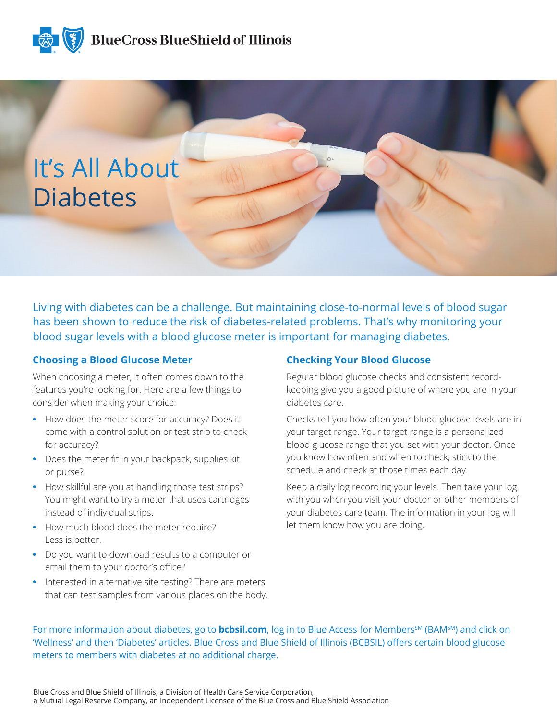



Living with diabetes can be a challenge. But maintaining close-to-normal levels of blood sugar has been shown to reduce the risk of diabetes-related problems. That's why monitoring your blood sugar levels with a blood glucose meter is important for managing diabetes.

#### **Choosing a Blood Glucose Meter**

When choosing a meter, it often comes down to the features you're looking for. Here are a few things to consider when making your choice:

- **•** How does the meter score for accuracy? Does it come with a control solution or test strip to check for accuracy?
- **•** Does the meter fit in your backpack, supplies kit or purse?
- **•** How skillful are you at handling those test strips? You might want to try a meter that uses cartridges instead of individual strips.
- **•** How much blood does the meter require? Less is better.
- **•** Do you want to download results to a computer or email them to your doctor's office?
- **•** Interested in alternative site testing? There are meters that can test samples from various places on the body.

#### **Checking Your Blood Glucose**

Regular blood glucose checks and consistent recordkeeping give you a good picture of where you are in your diabetes care.

Checks tell you how often your blood glucose levels are in your target range. Your target range is a personalized blood glucose range that you set with your doctor. Once you know how often and when to check, stick to the schedule and check at those times each day.

Keep a daily log recording your levels. Then take your log with you when you visit your doctor or other members of your diabetes care team. The information in your log will let them know how you are doing.

For more information about diabetes, go to **bcbsil.com**, log in to Blue Access for Members<sup>SM</sup> (BAM<sup>SM</sup>) and click on 'Wellness' and then 'Diabetes' articles. Blue Cross and Blue Shield of Illinois (BCBSIL) offers certain blood glucose meters to members with diabetes at no additional charge.